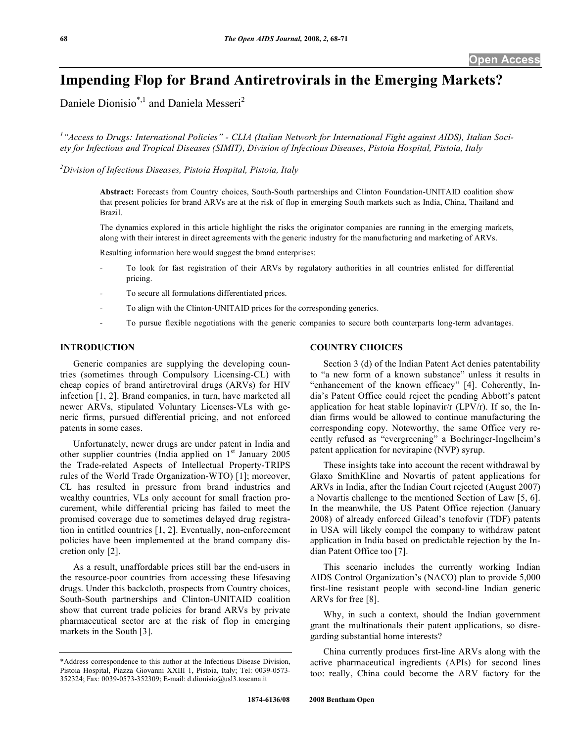# **Impending Flop for Brand Antiretrovirals in the Emerging Markets?**

Daniele Dionisio<sup>\*,1</sup> and Daniela Messeri<sup>2</sup>

<sup>1</sup> "Access to Drugs: International Policies" - CLIA (Italian Network for International Fight against AIDS), Italian Soci*ety for Infectious and Tropical Diseases (SIMIT), Division of Infectious Diseases, Pistoia Hospital, Pistoia, Italy* 

*2 Division of Infectious Diseases, Pistoia Hospital, Pistoia, Italy*

**Abstract:** Forecasts from Country choices, South-South partnerships and Clinton Foundation-UNITAID coalition show that present policies for brand ARVs are at the risk of flop in emerging South markets such as India, China, Thailand and Brazil.

The dynamics explored in this article highlight the risks the originator companies are running in the emerging markets, along with their interest in direct agreements with the generic industry for the manufacturing and marketing of ARVs.

Resulting information here would suggest the brand enterprises:

- To look for fast registration of their ARVs by regulatory authorities in all countries enlisted for differential pricing.
- To secure all formulations differentiated prices.
- To align with the Clinton-UNITAID prices for the corresponding generics.
- To pursue flexible negotiations with the generic companies to secure both counterparts long-term advantages.

# **INTRODUCTION**

 Generic companies are supplying the developing countries (sometimes through Compulsory Licensing-CL) with cheap copies of brand antiretroviral drugs (ARVs) for HIV infection [1, 2]. Brand companies, in turn, have marketed all newer ARVs, stipulated Voluntary Licenses-VLs with generic firms, pursued differential pricing, and not enforced patents in some cases.

 Unfortunately, newer drugs are under patent in India and other supplier countries (India applied on  $1<sup>st</sup>$  January 2005 the Trade-related Aspects of Intellectual Property-TRIPS rules of the World Trade Organization-WTO) [1]; moreover, CL has resulted in pressure from brand industries and wealthy countries, VLs only account for small fraction procurement, while differential pricing has failed to meet the promised coverage due to sometimes delayed drug registration in entitled countries [1, 2]. Eventually, non-enforcement policies have been implemented at the brand company discretion only [2].

 As a result, unaffordable prices still bar the end-users in the resource-poor countries from accessing these lifesaving drugs. Under this backcloth, prospects from Country choices, South-South partnerships and Clinton-UNITAID coalition show that current trade policies for brand ARVs by private pharmaceutical sector are at the risk of flop in emerging markets in the South [3].

## **COUNTRY CHOICES**

 Section 3 (d) of the Indian Patent Act denies patentability to "a new form of a known substance" unless it results in "enhancement of the known efficacy" [4]. Coherently, India's Patent Office could reject the pending Abbott's patent application for heat stable lopinavir/ $r$  (LPV/r). If so, the Indian firms would be allowed to continue manufacturing the corresponding copy. Noteworthy, the same Office very recently refused as "evergreening" a Boehringer-Ingelheim's patent application for nevirapine (NVP) syrup.

 These insights take into account the recent withdrawal by Glaxo SmithKline and Novartis of patent applications for ARVs in India, after the Indian Court rejected (August 2007) a Novartis challenge to the mentioned Section of Law [5, 6]. In the meanwhile, the US Patent Office rejection (January 2008) of already enforced Gilead's tenofovir (TDF) patents in USA will likely compel the company to withdraw patent application in India based on predictable rejection by the Indian Patent Office too [7].

 This scenario includes the currently working Indian AIDS Control Organization's (NACO) plan to provide 5,000 first-line resistant people with second-line Indian generic ARVs for free [8].

 Why, in such a context, should the Indian government grant the multinationals their patent applications, so disregarding substantial home interests?

 China currently produces first-line ARVs along with the active pharmaceutical ingredients (APIs) for second lines too: really, China could become the ARV factory for the

<sup>\*</sup>Address correspondence to this author at the Infectious Disease Division, Pistoia Hospital, Piazza Giovanni XXIII 1, Pistoia, Italy; Tel: 0039-0573- 352324; Fax: 0039-0573-352309; E-mail: d.dionisio@usl3.toscana.it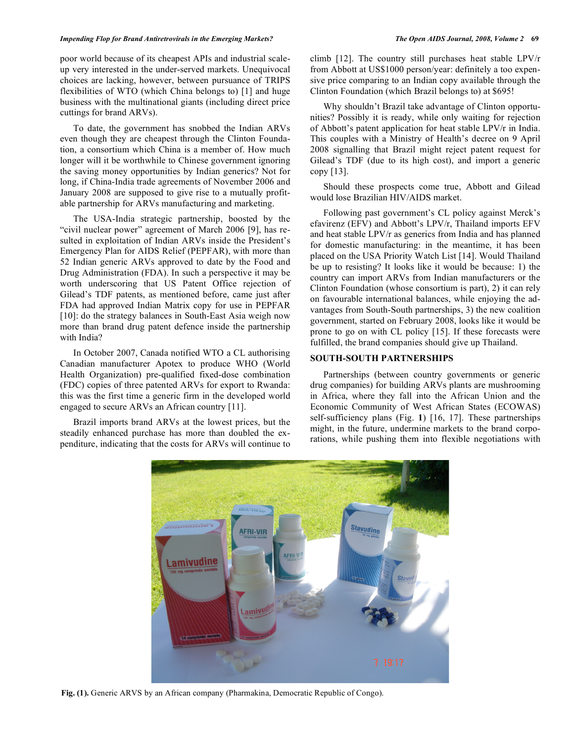#### *Impending Flop for Brand Antiretrovirals in the Emerging Markets? The Open AIDS Journal, 2008, Volume 2* **69**

poor world because of its cheapest APIs and industrial scaleup very interested in the under-served markets. Unequivocal choices are lacking, however, between pursuance of TRIPS flexibilities of WTO (which China belongs to) [1] and huge business with the multinational giants (including direct price cuttings for brand ARVs).

 To date, the government has snobbed the Indian ARVs even though they are cheapest through the Clinton Foundation, a consortium which China is a member of. How much longer will it be worthwhile to Chinese government ignoring the saving money opportunities by Indian generics? Not for long, if China-India trade agreements of November 2006 and January 2008 are supposed to give rise to a mutually profitable partnership for ARVs manufacturing and marketing.

 The USA-India strategic partnership, boosted by the "civil nuclear power" agreement of March 2006 [9], has resulted in exploitation of Indian ARVs inside the President's Emergency Plan for AIDS Relief (PEPFAR), with more than 52 Indian generic ARVs approved to date by the Food and Drug Administration (FDA). In such a perspective it may be worth underscoring that US Patent Office rejection of Gilead's TDF patents, as mentioned before, came just after FDA had approved Indian Matrix copy for use in PEPFAR [10]: do the strategy balances in South-East Asia weigh now more than brand drug patent defence inside the partnership with India?

 In October 2007, Canada notified WTO a CL authorising Canadian manufacturer Apotex to produce WHO (World Health Organization) pre-qualified fixed-dose combination (FDC) copies of three patented ARVs for export to Rwanda: this was the first time a generic firm in the developed world engaged to secure ARVs an African country [11].

 Brazil imports brand ARVs at the lowest prices, but the steadily enhanced purchase has more than doubled the expenditure, indicating that the costs for ARVs will continue to climb [12]. The country still purchases heat stable LPV/r from Abbott at US\$1000 person/year: definitely a too expensive price comparing to an Indian copy available through the Clinton Foundation (which Brazil belongs to) at \$695!

 Why shouldn't Brazil take advantage of Clinton opportunities? Possibly it is ready, while only waiting for rejection of Abbott's patent application for heat stable LPV/r in India. This couples with a Ministry of Health's decree on 9 April 2008 signalling that Brazil might reject patent request for Gilead's TDF (due to its high cost), and import a generic copy [13].

 Should these prospects come true, Abbott and Gilead would lose Brazilian HIV/AIDS market.

 Following past government's CL policy against Merck's efavirenz (EFV) and Abbott's LPV/r, Thailand imports EFV and heat stable LPV/r as generics from India and has planned for domestic manufacturing: in the meantime, it has been placed on the USA Priority Watch List [14]. Would Thailand be up to resisting? It looks like it would be because: 1) the country can import ARVs from Indian manufacturers or the Clinton Foundation (whose consortium is part), 2) it can rely on favourable international balances, while enjoying the advantages from South-South partnerships, 3) the new coalition government, started on February 2008, looks like it would be prone to go on with CL policy [15]. If these forecasts were fulfilled, the brand companies should give up Thailand.

## **SOUTH-SOUTH PARTNERSHIPS**

 Partnerships (between country governments or generic drug companies) for building ARVs plants are mushrooming in Africa, where they fall into the African Union and the Economic Community of West African States (ECOWAS) self-sufficiency plans (Fig. **1**) [16, 17]. These partnerships might, in the future, undermine markets to the brand corporations, while pushing them into flexible negotiations with



**Fig. (1).** Generic ARVS by an African company (Pharmakina, Democratic Republic of Congo).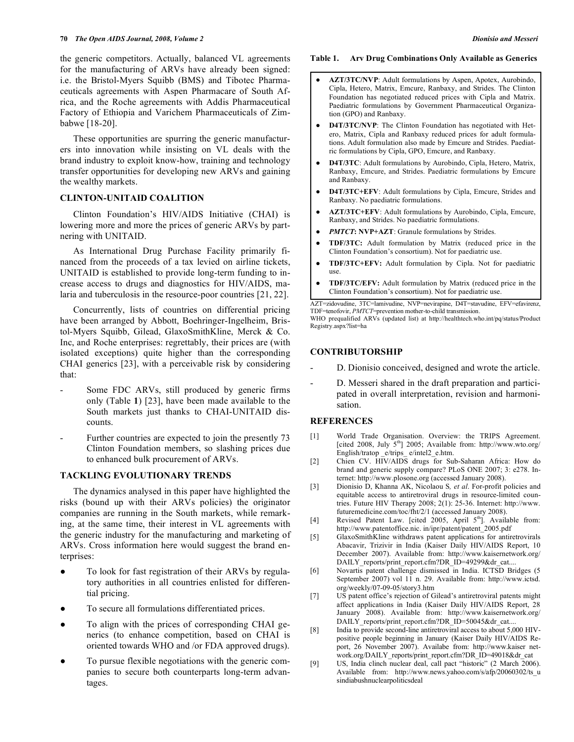the generic competitors. Actually, balanced VL agreements for the manufacturing of ARVs have already been signed: i.e. the Bristol-Myers Squibb (BMS) and Tibotec Pharmaceuticals agreements with Aspen Pharmacare of South Africa, and the Roche agreements with Addis Pharmaceutical Factory of Ethiopia and Varichem Pharmaceuticals of Zimbabwe [18-20].

 These opportunities are spurring the generic manufacturers into innovation while insisting on VL deals with the brand industry to exploit know-how, training and technology transfer opportunities for developing new ARVs and gaining the wealthy markets.

## **CLINTON-UNITAID COALITION**

 Clinton Foundation's HIV/AIDS Initiative (CHAI) is lowering more and more the prices of generic ARVs by partnering with UNITAID.

 As International Drug Purchase Facility primarily financed from the proceeds of a tax levied on airline tickets, UNITAID is established to provide long-term funding to increase access to drugs and diagnostics for HIV/AIDS, malaria and tuberculosis in the resource-poor countries [21, 22].

 Concurrently, lists of countries on differential pricing have been arranged by Abbott, Boehringer-Ingelheim, Bristol-Myers Squibb, Gilead, GlaxoSmithKline, Merck & Co. Inc, and Roche enterprises: regrettably, their prices are (with isolated exceptions) quite higher than the corresponding CHAI generics [23], with a perceivable risk by considering that:

- Some FDC ARVs, still produced by generic firms only (Table **1**) [23], have been made available to the South markets just thanks to CHAI-UNITAID discounts.
- Further countries are expected to join the presently 73 Clinton Foundation members, so slashing prices due to enhanced bulk procurement of ARVs.

#### **TACKLING EVOLUTIONARY TRENDS**

 The dynamics analysed in this paper have highlighted the risks (bound up with their ARVs policies) the originator companies are running in the South markets, while remarking, at the same time, their interest in VL agreements with the generic industry for the manufacturing and marketing of ARVs. Cross information here would suggest the brand enterprises:

- To look for fast registration of their ARVs by regulatory authorities in all countries enlisted for differential pricing.
- To secure all formulations differentiated prices.
- To align with the prices of corresponding CHAI generics (to enhance competition, based on CHAI is oriented towards WHO and /or FDA approved drugs).
- To pursue flexible negotiations with the generic companies to secure both counterparts long-term advantages.

#### **Table 1. Arv Drug Combinations Only Available as Generics**

- **AZT/3TC/NVP**: Adult formulations by Aspen, Apotex, Aurobindo, Cipla, Hetero, Matrix, Emcure, Ranbaxy, and Strides. The Clinton Foundation has negotiated reduced prices with Cipla and Matrix. Paediatric formulations by Government Pharmaceutical Organization (GPO) and Ranbaxy.
- **D4T/3TC/NVP**: The Clinton Foundation has negotiated with Hetero, Matrix, Cipla and Ranbaxy reduced prices for adult formulations. Adult formulation also made by Emcure and Strides. Paediatric formulations by Cipla, GPO, Emcure, and Ranbaxy.
- **D4T/3TC**: Adult formulations by Aurobindo, Cipla, Hetero, Matrix, Ranbaxy, Emcure, and Strides. Paediatric formulations by Emcure and Ranbaxy.
- **D4T/3TC+EFV**: Adult formulations by Cipla, Emcure, Strides and Ranbaxy. No paediatric formulations.
- **AZT/3TC+EFV**: Adult formulations by Aurobindo, Cipla, Emcure, Ranbaxy, and Strides. No paediatric formulations.
- *PMTCT***: NVP+AZT**: Granule formulations by Strides.
- **TDF/3TC:** Adult formulation by Matrix (reduced price in the Clinton Foundation's consortium). Not for paediatric use.
- **TDF/3TC+EFV:** Adult formulation by Cipla. Not for paediatric use.
- **TDF/3TC/EFV:** Adult formulation by Matrix (reduced price in the Clinton Foundation's consortium). Not for paediatric use.

AZT=zidovudine, 3TC=lamivudine, NVP=nevirapine, D4T=stavudine, EFV=efavirenz, TDF=tenofovir, *PMTCT*=prevention mother-to-child transmission.

WHO prequalified ARVs (updated list) at http://healthtech.who.int/pq/status/Product Registry.aspx?list=ha

## **CONTRIBUTORSHIP**

- D. Dionisio conceived, designed and wrote the article.
- D. Messeri shared in the draft preparation and participated in overall interpretation, revision and harmonisation.

#### **REFERENCES**

- [1] World Trade Organisation. Overview: the TRIPS Agreement. [cited 2008, July 5<sup>th</sup>] 2005; Available from: http://www.wto.org/ English/tratop \_e/trips\_ e/intel2\_e.htm.
- [2] Chien CV. HIV/AIDS drugs for Sub-Saharan Africa: How do brand and generic supply compare? PLoS ONE 2007; 3: e278. Internet: http://www.plosone.org (accessed January 2008).
- [3] Dionisio D, Khanna AK, Nicolaou S*, et al*. For-profit policies and equitable access to antiretroviral drugs in resource-limited countries. Future HIV Therapy 2008; 2(1): 25-36. Internet: http://www. futuremedicine.com/toc/fht/2/1 (accessed January 2008).
- [4] Revised Patent Law. [cited 2005, April 5<sup>th</sup>]. Available from: http://www.patentoffice.nic. in/ipr/patent/patent\_2005.pdf
- [5] GlaxoSmithKline withdraws patent applications for antiretrovirals Abacavir, Trizivir in India (Kaiser Daily HIV/AIDS Report, 10 December 2007). Available from: http://www.kaisernetwork.org/ DAILY\_reports/print\_report.cfm?DR\_ID=49299&dr\_cat....
- [6] Novartis patent challenge dismissed in India. ICTSD Bridges (5 September 2007) vol 11 n. 29. Available from: http://www.ictsd. org/weekly/07-09-05/story3.htm
- [7] US patent office's rejection of Gilead's antiretroviral patents might affect applications in India (Kaiser Daily HIV/AIDS Report, 28 January 2008). Available from: http://www.kaisernetwork.org/ DAILY\_reports/print\_report.cfm?DR\_ID=50045&dr\_cat...
- [8] India to provide second-line antiretroviral access to about 5,000 HIVpositive people beginning in January (Kaiser Daily HIV/AIDS Report, 26 November 2007). Availabe from: http://www.kaiser network.org/DAILY\_reports/print\_report.cfm?DR\_ID=49018&dr\_cat
- [9] US, India clinch nuclear deal, call pact "historic" (2 March 2006). Available from: http://www.news.yahoo.com/s/afp/20060302/ts\_u sindiabushnuclearpoliticsdeal